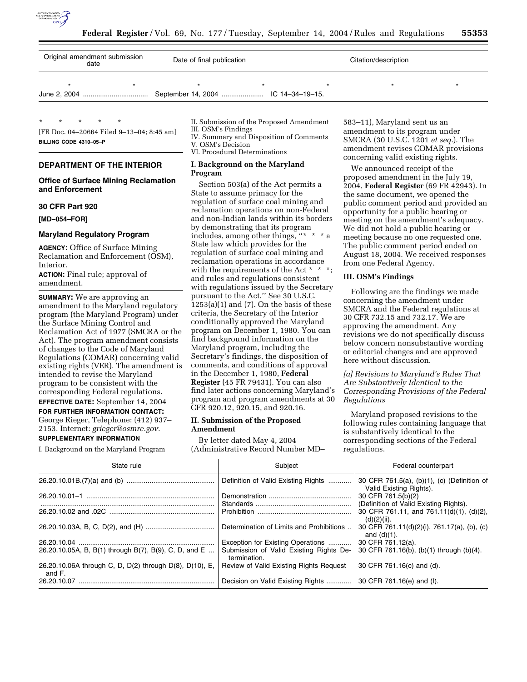

| Original amendment submission<br>date | Date of final publication |  | Citation/description |  |  |  |
|---------------------------------------|---------------------------|--|----------------------|--|--|--|
|                                       |                           |  |                      |  |  |  |

\* \* \* \* \* [FR Doc. 04–20664 Filed 9–13–04; 8:45 am]

**BILLING CODE 4310–05–P**

# **DEPARTMENT OF THE INTERIOR**

# **Office of Surface Mining Reclamation and Enforcement**

#### **30 CFR Part 920**

**[MD–054–FOR]** 

### **Maryland Regulatory Program**

**AGENCY:** Office of Surface Mining Reclamation and Enforcement (OSM), Interior.

**ACTION:** Final rule; approval of amendment.

**SUMMARY:** We are approving an amendment to the Maryland regulatory program (the Maryland Program) under the Surface Mining Control and Reclamation Act of 1977 (SMCRA or the Act). The program amendment consists of changes to the Code of Maryland Regulations (COMAR) concerning valid existing rights (VER). The amendment is intended to revise the Maryland program to be consistent with the corresponding Federal regulations. **EFFECTIVE DATE:** September 14, 2004

**FOR FURTHER INFORMATION CONTACT:**

George Rieger, Telephone: (412) 937– 2153. Internet: *grieger@osmre.gov.*

#### **SUPPLEMENTARY INFORMATION**

I. Background on the Maryland Program

II. Submission of the Proposed Amendment III. OSM's Findings

IV. Summary and Disposition of Comments

V. OSM's Decision

VI. Procedural Determinations

# **I. Background on the Maryland Program**

Section 503(a) of the Act permits a State to assume primacy for the regulation of surface coal mining and reclamation operations on non-Federal and non-Indian lands within its borders by demonstrating that its program includes, among other things, " $*$   $*$ State law which provides for the regulation of surface coal mining and reclamation operations in accordance with the requirements of the Act \* \* \*; and rules and regulations consistent with regulations issued by the Secretary pursuant to the Act.'' See 30 U.S.C.  $1253(a)(1)$  and  $(7)$ . On the basis of these criteria, the Secretary of the Interior conditionally approved the Maryland program on December 1, 1980. You can find background information on the Maryland program, including the Secretary's findings, the disposition of comments, and conditions of approval in the December 1, 1980, **Federal Register** (45 FR 79431). You can also find later actions concerning Maryland's program and program amendments at 30 CFR 920.12, 920.15, and 920.16.

### **II. Submission of the Proposed Amendment**

By letter dated May 4, 2004 (Administrative Record Number MD–

583–11), Maryland sent us an amendment to its program under SMCRA (30 U.S.C. 1201 *et seq.*). The amendment revises COMAR provisions concerning valid existing rights.

We announced receipt of the proposed amendment in the July 19, 2004, **Federal Register** (69 FR 42943). In the same document, we opened the public comment period and provided an opportunity for a public hearing or meeting on the amendment's adequacy. We did not hold a public hearing or meeting because no one requested one. The public comment period ended on August 18, 2004. We received responses from one Federal Agency.

### **III. OSM's Findings**

Following are the findings we made concerning the amendment under SMCRA and the Federal regulations at 30 CFR 732.15 and 732.17. We are approving the amendment. Any revisions we do not specifically discuss below concern nonsubstantive wording or editorial changes and are approved here without discussion.

*[a] Revisions to Maryland's Rules That Are Substantively Identical to the Corresponding Provisions of the Federal Regulations* 

Maryland proposed revisions to the following rules containing language that is substantively identical to the corresponding sections of the Federal regulations.

| State rule                                                        | Subject                                                 | Federal counterpart                                                    |
|-------------------------------------------------------------------|---------------------------------------------------------|------------------------------------------------------------------------|
|                                                                   | Definition of Valid Existing Rights                     | 30 CFR 761.5(a), (b)(1), (c) (Definition of<br>Valid Existing Rights). |
|                                                                   |                                                         | 30 CFR 761.5(b)(2)                                                     |
|                                                                   |                                                         | (Definition of Valid Existing Rights).                                 |
|                                                                   |                                                         | 30 CFR 761.11, and 761.11(d)(1), (d)(2),<br>$(d)(2)(ii)$ .             |
|                                                                   | Determination of Limits and Prohibitions                | 30 CFR 761.11(d)(2)(i), 761.17(a), (b), (c)<br>and $(d)(1)$ .          |
|                                                                   | Exception for Existing Operations                       | 30 CFR 761.12(a).                                                      |
| 26.20.10.05A, B, B(1) through B(7), B(9), C, D, and E             | Submission of Valid Existing Rights De-<br>termination. | 30 CFR 761.16(b), (b)(1) through (b)(4).                               |
| 26.20.10.06A through C, D, D(2) through D(8), D(10), E,<br>and F. | Review of Valid Existing Rights Request                 | 30 CFR 761.16(c) and (d).                                              |
| 26.20.10.07                                                       | Decision on Valid Existing Rights                       | 30 CFR 761.16(e) and (f).                                              |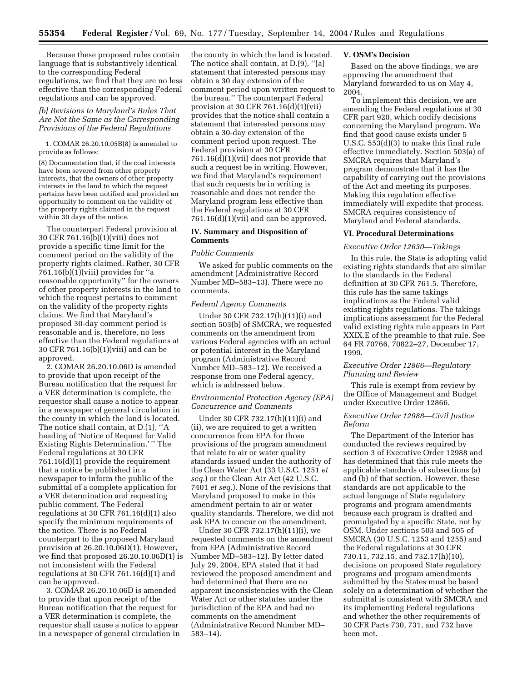Because these proposed rules contain language that is substantively identical to the corresponding Federal regulations, we find that they are no less effective than the corresponding Federal regulations and can be approved.

# *[b] Revisions to Maryland's Rules That Are Not the Same as the Corresponding Provisions of the Federal Regulations*

1. COMAR 26.20.10.05B(8) is amended to provide as follows:

(8) Documentation that, if the coal interests have been severed from other property interests, that the owners of other property interests in the land to which the request pertains have been notified and provided an opportunity to comment on the validity of the property rights claimed in the request within 30 days of the notice.

The counterpart Federal provision at 30 CFR 761.16(b)(1)(viii) does not provide a specific time limit for the comment period on the validity of the property rights claimed. Rather, 30 CFR  $761.16(b)(1)(viii)$  provides for "a reasonable opportunity'' for the owners of other property interests in the land to which the request pertains to comment on the validity of the property rights claims. We find that Maryland's proposed 30-day comment period is reasonable and is, therefore, no less effective than the Federal regulations at 30 CFR 761.16(b)(1)(viii) and can be approved.

2. COMAR 26.20.10.06D is amended to provide that upon receipt of the Bureau notification that the request for a VER determination is complete, the requestor shall cause a notice to appear in a newspaper of general circulation in the county in which the land is located. The notice shall contain, at D.(1), ''A heading of 'Notice of Request for Valid Existing Rights Determination.' '' The Federal regulations at 30 CFR 761.16(d)(1) provide the requirement that a notice be published in a newspaper to inform the public of the submittal of a complete application for a VER determination and requesting public comment. The Federal regulations at 30 CFR 761.16(d)(1) also specify the minimum requirements of the notice. There is no Federal counterpart to the proposed Maryland provision at 26.20.10.06D(1). However, we find that proposed 26.20.10.06D(1) is not inconsistent with the Federal regulations at 30 CFR 761.16(d)(1) and can be approved.

3. COMAR 26.20.10.06D is amended to provide that upon receipt of the Bureau notification that the request for a VER determination is complete, the requestor shall cause a notice to appear in a newspaper of general circulation in

the county in which the land is located. The notice shall contain, at D.(9), ''[a] statement that interested persons may obtain a 30 day extension of the comment period upon written request to the bureau.'' The counterpart Federal provision at 30 CFR 761.16(d)(1)(vii) provides that the notice shall contain a statement that interested persons may obtain a 30-day extension of the comment period upon request. The Federal provision at 30 CFR 761.16(d)(1)(vii) does not provide that such a request be in writing. However, we find that Maryland's requirement that such requests be in writing is reasonable and does not render the Maryland program less effective than the Federal regulations at 30 CFR 761.16(d)(1)(vii) and can be approved.

# **IV. Summary and Disposition of Comments**

#### *Public Comments*

We asked for public comments on the amendment (Administrative Record Number MD–583–13). There were no comments.

### *Federal Agency Comments*

Under 30 CFR 732.17(h)(11)(i) and section 503(b) of SMCRA, we requested comments on the amendment from various Federal agencies with an actual or potential interest in the Maryland program (Administrative Record Number MD–583–12). We received a response from one Federal agency, which is addressed below.

### *Environmental Protection Agency (EPA) Concurrence and Comments*

Under 30 CFR 732.17(h)(11)(i) and (ii), we are required to get a written concurrence from EPA for those provisions of the program amendment that relate to air or water quality standards issued under the authority of the Clean Water Act (33 U.S.C. 1251 *et seq.*) or the Clean Air Act (42 U.S.C. 7401 *et seq.*). None of the revisions that Maryland proposed to make in this amendment pertain to air or water quality standards. Therefore, we did not ask EPA to concur on the amendment.

Under 30 CFR 732.17(h)(11)(i), we requested comments on the amendment from EPA (Administrative Record Number MD–583–12). By letter dated July 29, 2004, EPA stated that it had reviewed the proposed amendment and had determined that there are no apparent inconsistencies with the Clean Water Act or other statutes under the jurisdiction of the EPA and had no comments on the amendment (Administrative Record Number MD– 583–14).

#### **V. OSM's Decision**

Based on the above findings, we are approving the amendment that Maryland forwarded to us on May 4, 2004.

To implement this decision, we are amending the Federal regulations at 30 CFR part 920, which codify decisions concerning the Maryland program. We find that good cause exists under 5 U.S.C. 553(d)(3) to make this final rule effective immediately. Section 503(a) of SMCRA requires that Maryland's program demonstrate that it has the capability of carrying out the provisions of the Act and meeting its purposes. Making this regulation effective immediately will expedite that process. SMCRA requires consistency of Maryland and Federal standards.

#### **VI. Procedural Determinations**

#### *Executive Order 12630—Takings*

In this rule, the State is adopting valid existing rights standards that are similar to the standards in the Federal definition at 30 CFR 761.5. Therefore, this rule has the same takings implications as the Federal valid existing rights regulations. The takings implications assessment for the Federal valid existing rights rule appears in Part XXIX.E of the preamble to that rule. See 64 FR 70766, 70822–27, December 17, 1999.

### *Executive Order 12866—Regulatory Planning and Review*

This rule is exempt from review by the Office of Management and Budget under Executive Order 12866.

### *Executive Order 12988—Civil Justice Reform*

The Department of the Interior has conducted the reviews required by section 3 of Executive Order 12988 and has determined that this rule meets the applicable standards of subsections (a) and (b) of that section. However, these standards are not applicable to the actual language of State regulatory programs and program amendments because each program is drafted and promulgated by a specific State, not by OSM. Under sections 503 and 505 of SMCRA (30 U.S.C. 1253 and 1255) and the Federal regulations at 30 CFR 730.11, 732.15, and 732.17(h)(10), decisions on proposed State regulatory programs and program amendments submitted by the States must be based solely on a determination of whether the submittal is consistent with SMCRA and its implementing Federal regulations and whether the other requirements of 30 CFR Parts 730, 731, and 732 have been met.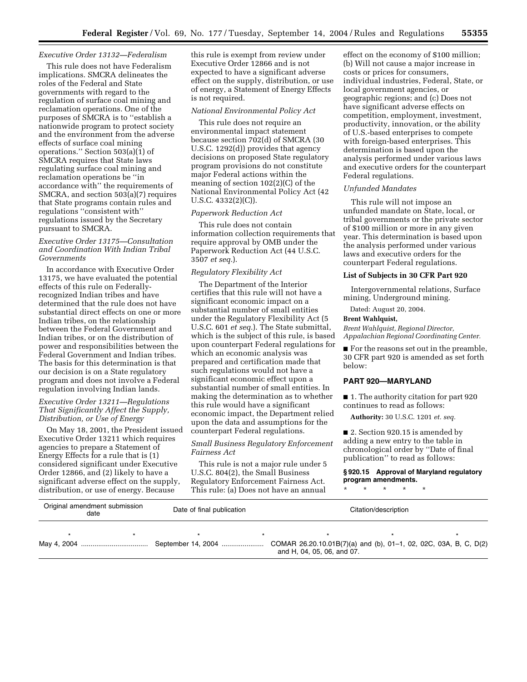### *Executive Order 13132—Federalism*

This rule does not have Federalism implications. SMCRA delineates the roles of the Federal and State governments with regard to the regulation of surface coal mining and reclamation operations. One of the purposes of SMCRA is to ''establish a nationwide program to protect society and the environment from the adverse effects of surface coal mining operations.'' Section 503(a)(1) of SMCRA requires that State laws regulating surface coal mining and reclamation operations be ''in accordance with'' the requirements of SMCRA, and section 503(a)(7) requires that State programs contain rules and regulations ''consistent with'' regulations issued by the Secretary pursuant to SMCRA.

# *Executive Order 13175—Consultation and Coordination With Indian Tribal Governments*

In accordance with Executive Order 13175, we have evaluated the potential effects of this rule on Federallyrecognized Indian tribes and have determined that the rule does not have substantial direct effects on one or more Indian tribes, on the relationship between the Federal Government and Indian tribes, or on the distribution of power and responsibilities between the Federal Government and Indian tribes. The basis for this determination is that our decision is on a State regulatory program and does not involve a Federal regulation involving Indian lands.

### *Executive Order 13211—Regulations That Significantly Affect the Supply, Distribution, or Use of Energy*

On May 18, 2001, the President issued Executive Order 13211 which requires agencies to prepare a Statement of Energy Effects for a rule that is (1) considered significant under Executive Order 12866, and (2) likely to have a significant adverse effect on the supply, distribution, or use of energy. Because

this rule is exempt from review under Executive Order 12866 and is not expected to have a significant adverse effect on the supply, distribution, or use of energy, a Statement of Energy Effects is not required.

#### *National Environmental Policy Act*

This rule does not require an environmental impact statement because section 702(d) of SMCRA (30 U.S.C. 1292(d)) provides that agency decisions on proposed State regulatory program provisions do not constitute major Federal actions within the meaning of section 102(2)(C) of the National Environmental Policy Act (42 U.S.C. 4332(2)(C)).

### *Paperwork Reduction Act*

This rule does not contain information collection requirements that require approval by OMB under the Paperwork Reduction Act (44 U.S.C. 3507 *et seq.*).

### *Regulatory Flexibility Act*

The Department of the Interior certifies that this rule will not have a significant economic impact on a substantial number of small entities under the Regulatory Flexibility Act (5 U.S.C. 601 *et seq.*). The State submittal, which is the subject of this rule, is based upon counterpart Federal regulations for which an economic analysis was prepared and certification made that such regulations would not have a significant economic effect upon a substantial number of small entities. In making the determination as to whether this rule would have a significant economic impact, the Department relied upon the data and assumptions for the counterpart Federal regulations.

## *Small Business Regulatory Enforcement Fairness Act*

This rule is not a major rule under 5 U.S.C. 804(2), the Small Business Regulatory Enforcement Fairness Act. This rule: (a) Does not have an annual

effect on the economy of \$100 million; (b) Will not cause a major increase in costs or prices for consumers, individual industries, Federal, State, or local government agencies, or geographic regions; and (c) Does not have significant adverse effects on competition, employment, investment, productivity, innovation, or the ability of U.S.-based enterprises to compete with foreign-based enterprises. This determination is based upon the analysis performed under various laws and executive orders for the counterpart Federal regulations.

## *Unfunded Mandates*

This rule will not impose an unfunded mandate on State, local, or tribal governments or the private sector of \$100 million or more in any given year. This determination is based upon the analysis performed under various laws and executive orders for the counterpart Federal regulations.

### **List of Subjects in 30 CFR Part 920**

Intergovernmental relations, Surface mining, Underground mining.

Dated: August 20, 2004.

# **Brent Wahlquist,**

*Brent Wahlquist, Regional Director, Appalachian Regional Coordinating Center.*

■ For the reasons set out in the preamble, 30 CFR part 920 is amended as set forth below:

#### **PART 920—MARYLAND**

■ 1. The authority citation for part 920 continues to read as follows:

**Authority:** 30 U.S.C. 1201 *et. seq.*

■ 2. Section 920.15 is amended by adding a new entry to the table in chronological order by ''Date of final publication'' to read as follows:

# **§ 920.15 Approval of Maryland regulatory program amendments.**

\* \* \* \* \*

| Original amendment submission<br>date |  | Date of final publication |  | Citation/description       |  |  |  |
|---------------------------------------|--|---------------------------|--|----------------------------|--|--|--|
|                                       |  |                           |  |                            |  |  |  |
|                                       |  |                           |  | and H, 04, 05, 06, and 07. |  |  |  |